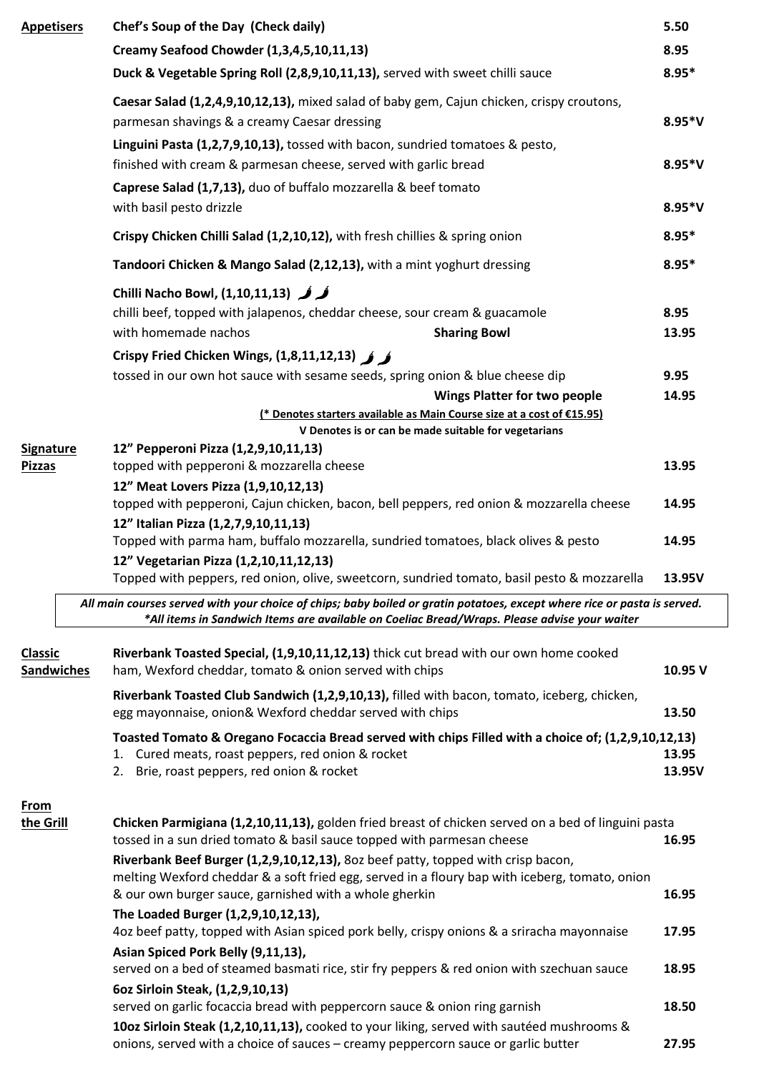| <b>Appetisers</b>                   |  | Chef's Soup of the Day (Check daily)                                                                                                                                                                                                                                                                                                                                         |               |  |  |  |  |  |
|-------------------------------------|--|------------------------------------------------------------------------------------------------------------------------------------------------------------------------------------------------------------------------------------------------------------------------------------------------------------------------------------------------------------------------------|---------------|--|--|--|--|--|
|                                     |  | Creamy Seafood Chowder (1,3,4,5,10,11,13)                                                                                                                                                                                                                                                                                                                                    |               |  |  |  |  |  |
|                                     |  | Duck & Vegetable Spring Roll (2,8,9,10,11,13), served with sweet chilli sauce                                                                                                                                                                                                                                                                                                | $8.95*$       |  |  |  |  |  |
|                                     |  | Caesar Salad (1,2,4,9,10,12,13), mixed salad of baby gem, Cajun chicken, crispy croutons,<br>parmesan shavings & a creamy Caesar dressing                                                                                                                                                                                                                                    |               |  |  |  |  |  |
|                                     |  | Linguini Pasta (1,2,7,9,10,13), tossed with bacon, sundried tomatoes & pesto,<br>finished with cream & parmesan cheese, served with garlic bread<br>Caprese Salad (1,7,13), duo of buffalo mozzarella & beef tomato<br>with basil pesto drizzle<br>Crispy Chicken Chilli Salad (1,2,10,12), with fresh chillies & spring onion                                               |               |  |  |  |  |  |
|                                     |  |                                                                                                                                                                                                                                                                                                                                                                              |               |  |  |  |  |  |
|                                     |  |                                                                                                                                                                                                                                                                                                                                                                              |               |  |  |  |  |  |
|                                     |  | Tandoori Chicken & Mango Salad (2,12,13), with a mint yoghurt dressing                                                                                                                                                                                                                                                                                                       |               |  |  |  |  |  |
|                                     |  | كركر (1,10,11,13) Chilli Nacho Bowl, (1,10,11,13)<br>chilli beef, topped with jalapenos, cheddar cheese, sour cream & guacamole<br>with homemade nachos<br><b>Sharing Bowl</b>                                                                                                                                                                                               |               |  |  |  |  |  |
|                                     |  | Crispy Fried Chicken Wings, $(1,8,11,12,13)$ $\hat{\phantom{a}}$<br>tossed in our own hot sauce with sesame seeds, spring onion & blue cheese dip<br><b>Wings Platter for two people</b>                                                                                                                                                                                     | 9.95<br>14.95 |  |  |  |  |  |
|                                     |  | (* Denotes starters available as Main Course size at a cost of €15.95)                                                                                                                                                                                                                                                                                                       |               |  |  |  |  |  |
|                                     |  | V Denotes is or can be made suitable for vegetarians<br>12" Pepperoni Pizza (1,2,9,10,11,13)                                                                                                                                                                                                                                                                                 |               |  |  |  |  |  |
| <b>Signature</b><br><b>Pizzas</b>   |  | topped with pepperoni & mozzarella cheese                                                                                                                                                                                                                                                                                                                                    | 13.95         |  |  |  |  |  |
|                                     |  | 12" Meat Lovers Pizza (1,9,10,12,13)<br>topped with pepperoni, Cajun chicken, bacon, bell peppers, red onion & mozzarella cheese<br>14.95                                                                                                                                                                                                                                    |               |  |  |  |  |  |
|                                     |  | 12" Italian Pizza (1,2,7,9,10,11,13)<br>Topped with parma ham, buffalo mozzarella, sundried tomatoes, black olives & pesto<br>12" Vegetarian Pizza (1,2,10,11,12,13)                                                                                                                                                                                                         | 14.95         |  |  |  |  |  |
|                                     |  | Topped with peppers, red onion, olive, sweetcorn, sundried tomato, basil pesto & mozzarella                                                                                                                                                                                                                                                                                  | 13.95V        |  |  |  |  |  |
|                                     |  | All main courses served with your choice of chips; baby boiled or gratin potatoes, except where rice or pasta is served.<br>*All items in Sandwich Items are available on Coeliac Bread/Wraps. Please advise your waiter                                                                                                                                                     |               |  |  |  |  |  |
| <b>Classic</b><br><b>Sandwiches</b> |  | Riverbank Toasted Special, (1,9,10,11,12,13) thick cut bread with our own home cooked<br>ham, Wexford cheddar, tomato & onion served with chips                                                                                                                                                                                                                              | 10.95 V       |  |  |  |  |  |
|                                     |  | Riverbank Toasted Club Sandwich (1,2,9,10,13), filled with bacon, tomato, iceberg, chicken,<br>egg mayonnaise, onion& Wexford cheddar served with chips                                                                                                                                                                                                                      |               |  |  |  |  |  |
|                                     |  | Toasted Tomato & Oregano Focaccia Bread served with chips Filled with a choice of; (1,2,9,10,12,13)<br>1. Cured meats, roast peppers, red onion & rocket<br>13.95<br>Brie, roast peppers, red onion & rocket<br>13.95V<br>2.                                                                                                                                                 |               |  |  |  |  |  |
| <b>From</b><br>the Grill            |  | Chicken Parmigiana (1,2,10,11,13), golden fried breast of chicken served on a bed of linguini pasta<br>tossed in a sun dried tomato & basil sauce topped with parmesan cheese<br>16.95<br>Riverbank Beef Burger (1,2,9,10,12,13), 8oz beef patty, topped with crisp bacon,<br>melting Wexford cheddar & a soft fried egg, served in a floury bap with iceberg, tomato, onion |               |  |  |  |  |  |
|                                     |  |                                                                                                                                                                                                                                                                                                                                                                              |               |  |  |  |  |  |
|                                     |  | & our own burger sauce, garnished with a whole gherkin<br>The Loaded Burger (1,2,9,10,12,13),                                                                                                                                                                                                                                                                                | 16.95         |  |  |  |  |  |
|                                     |  | 4oz beef patty, topped with Asian spiced pork belly, crispy onions & a sriracha mayonnaise<br>Asian Spiced Pork Belly (9,11,13),                                                                                                                                                                                                                                             | 17.95         |  |  |  |  |  |
|                                     |  | served on a bed of steamed basmati rice, stir fry peppers & red onion with szechuan sauce                                                                                                                                                                                                                                                                                    | 18.95         |  |  |  |  |  |
|                                     |  | 6oz Sirloin Steak, (1,2,9,10,13)<br>served on garlic focaccia bread with peppercorn sauce & onion ring garnish                                                                                                                                                                                                                                                               | 18.50         |  |  |  |  |  |
|                                     |  | 10oz Sirloin Steak (1,2,10,11,13), cooked to your liking, served with sautéed mushrooms &<br>onions, served with a choice of sauces - creamy peppercorn sauce or garlic butter                                                                                                                                                                                               | 27.95         |  |  |  |  |  |